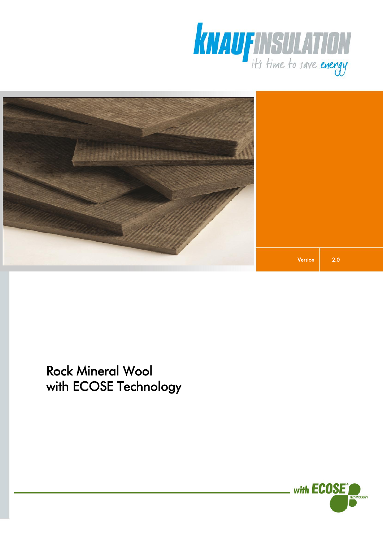



Rock Mineral Wool with ECOSE Technology

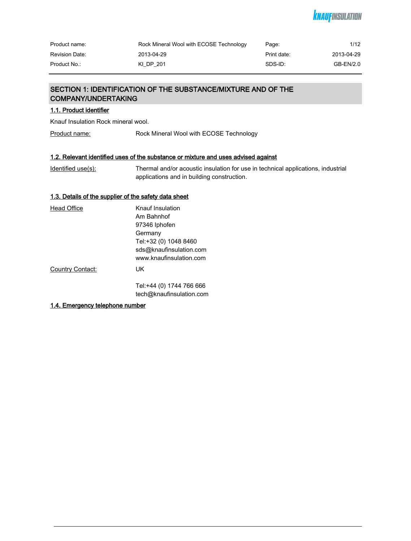# *KNAUFINSULATION*

| Product name:         | Rock Mineral Wool with ECOSE Technology | Page:       | 1/12       |
|-----------------------|-----------------------------------------|-------------|------------|
| <b>Revision Date:</b> | 2013-04-29                              | Print date: | 2013-04-29 |
| Product No.:          | KI DP 201                               | SDS-ID:     | GB-EN/2.0  |

# SECTION 1: IDENTIFICATION OF THE SUBSTANCE/MIXTURE AND OF THE COMPANY/UNDERTAKING

# 1.1. Product identifier

Knauf Insulation Rock mineral wool.

Product name: Rock Mineral Wool with ECOSE Technology

# 1.2. Relevant identified uses of the substance or mixture and uses advised against

| Identified use(s): | Thermal and/or acoustic insulation for use in technical applications, industrial |
|--------------------|----------------------------------------------------------------------------------|
|                    | applications and in building construction.                                       |

# 1.3. Details of the supplier of the safety data sheet

| <b>Head Office</b> | Knauf Insulation         |
|--------------------|--------------------------|
|                    | Am Bahnhof               |
|                    | 97346 Iphofen            |
|                    | Germany                  |
|                    | Tel:+32 (0) 1048 8460    |
|                    | sds@knaufinsulation.com  |
|                    | www.knaufinsulation.com  |
| Country Contact:   | UK                       |
|                    | Tel:+44 (0) 1744 766 666 |
|                    | tech@knaufinsulation.com |

### 1.4. Emergency telephone number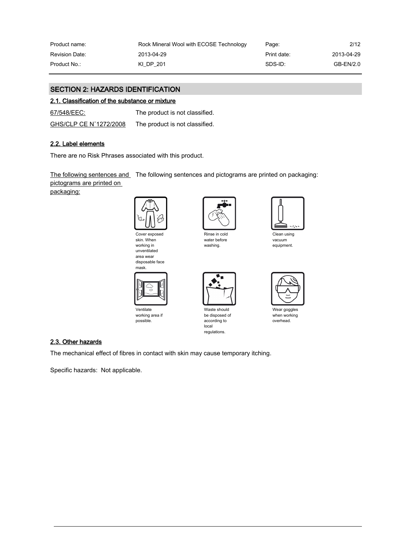| Product name:         | Rock Mineral Wool with ECOSE Technology | Page:       | 2/12       |
|-----------------------|-----------------------------------------|-------------|------------|
| <b>Revision Date:</b> | 2013-04-29                              | Print date: | 2013-04-29 |
| Product No.:          | KI DP 201                               | SDS-ID:     | GB-EN/2.0  |

# SECTION 2: HAZARDS IDENTIFICATION

### 2.1. Classification of the substance or mixture

67/548/EEC: The product is not classified.

| GHS/CLP CE N°1272/2008 | The product is not classified. |
|------------------------|--------------------------------|
|                        |                                |

# 2.2. Label elements

There are no Risk Phrases associated with this product.

<u>The following sentences and</u> The following sentences and pictograms are printed on packaging:

pictograms are printed on

packaging:







Ventilate working area if possible.



Rinse in cold water before washing.



Waste should be disposed of according to local regulations.



Clean using vacuum equipment.



Wear goggles when working overhead.

### 2.3. Other hazards

The mechanical effect of fibres in contact with skin may cause temporary itching.

Specific hazards: Not applicable.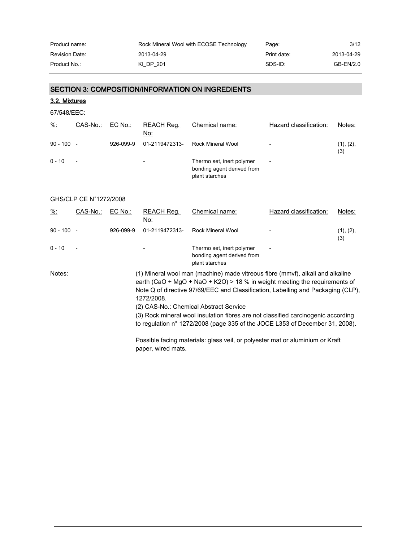| Product name:         | Rock Mineral Wool with ECOSE Technology | Page:       | 3/12       |
|-----------------------|-----------------------------------------|-------------|------------|
| <b>Revision Date:</b> | 2013-04-29                              | Print date: | 2013-04-29 |
| Product No.:          | KI DP 201                               | SDS-ID:     | GB-EN/2.0  |

# SECTION 3: COMPOSITION/INFORMATION ON INGREDIENTS

3.2. Mixtures

67/548/EEC:

| $\frac{9}{6}$ : | CAS-No.:                 | EC No.:   | REACH Req.<br>No:        | Chemical name:                                                            | Hazard classification:   | Notes:           |
|-----------------|--------------------------|-----------|--------------------------|---------------------------------------------------------------------------|--------------------------|------------------|
| $90 - 100 -$    |                          | 926-099-9 | 01-2119472313-           | Rock Mineral Wool                                                         | $\overline{\phantom{a}}$ | (1), (2),<br>(3) |
| $0 - 10$        | $\overline{\phantom{a}}$ |           | $\overline{\phantom{a}}$ | Thermo set, inert polymer<br>bonding agent derived from<br>plant starches | $\overline{\phantom{a}}$ |                  |

# GHS/CLP CE N°1272/2008

| $\frac{9}{6}$ | CAS-No.:                 | $EC$ No.: | REACH Reg.<br>No: | Chemical name:                                                                                                                                                                                                                                                                                                                                                                                                                                                  | Hazard classification: | Notes:           |
|---------------|--------------------------|-----------|-------------------|-----------------------------------------------------------------------------------------------------------------------------------------------------------------------------------------------------------------------------------------------------------------------------------------------------------------------------------------------------------------------------------------------------------------------------------------------------------------|------------------------|------------------|
| $90 - 100 -$  |                          | 926-099-9 | 01-2119472313-    | Rock Mineral Wool                                                                                                                                                                                                                                                                                                                                                                                                                                               |                        | (1), (2),<br>(3) |
| $0 - 10$      | $\overline{\phantom{a}}$ |           |                   | Thermo set, inert polymer<br>bonding agent derived from<br>plant starches                                                                                                                                                                                                                                                                                                                                                                                       |                        |                  |
| Notes:        |                          |           | 1272/2008.        | (1) Mineral wool man (machine) made vitreous fibre (mmvf), alkali and alkaline<br>earth (CaO + MgO + NaO + K2O) > 18 % in weight meeting the requirements of<br>Note Q of directive 97/69/EEC and Classification, Labelling and Packaging (CLP),<br>(2) CAS-No.: Chemical Abstract Service<br>(3) Rock mineral wool insulation fibres are not classified carcinogenic according<br>to regulation n° 1272/2008 (page 335 of the JOCE L353 of December 31, 2008). |                        |                  |

Possible facing materials: glass veil, or polyester mat or aluminium or Kraft paper, wired mats.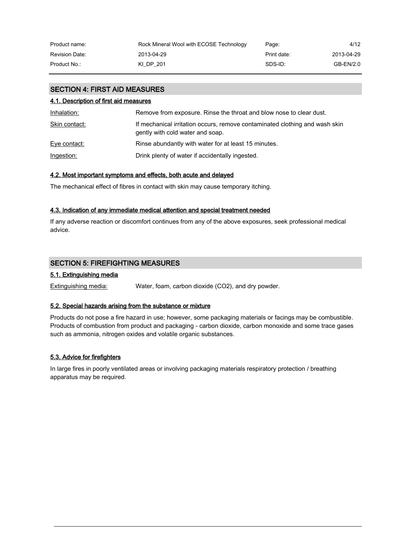| Product name:         | Rock Mineral Wool with ECOSE Technology | Page:       | 4/12       |
|-----------------------|-----------------------------------------|-------------|------------|
| <b>Revision Date:</b> | 2013-04-29                              | Print date: | 2013-04-29 |
| Product No.:          | KI DP 201                               | SDS-ID:     | GB-EN/2.0  |

# SECTION 4: FIRST AID MEASURES

### 4.1. Description of first aid measures

| Inhalation:   | Remove from exposure. Rinse the throat and blow nose to clear dust.                                             |
|---------------|-----------------------------------------------------------------------------------------------------------------|
| Skin contact: | If mechanical irritation occurs, remove contaminated clothing and wash skin<br>gently with cold water and soap. |
| Eye contact:  | Rinse abundantly with water for at least 15 minutes.                                                            |
| Ingestion:    | Drink plenty of water if accidentally ingested.                                                                 |

### 4.2. Most important symptoms and effects, both acute and delayed

The mechanical effect of fibres in contact with skin may cause temporary itching.

### 4.3. Indication of any immediate medical attention and special treatment needed

If any adverse reaction or discomfort continues from any of the above exposures, seek professional medical advice.

# SECTION 5: FIREFIGHTING MEASURES

# 5.1. Extinguishing media

Extinguishing media: Water, foam, carbon dioxide (CO2), and dry powder.

### 5.2. Special hazards arising from the substance or mixture

Products do not pose a fire hazard in use; however, some packaging materials or facings may be combustible. Products of combustion from product and packaging - carbon dioxide, carbon monoxide and some trace gases such as ammonia, nitrogen oxides and volatile organic substances.

### 5.3. Advice for firefighters

In large fires in poorly ventilated areas or involving packaging materials respiratory protection / breathing apparatus may be required.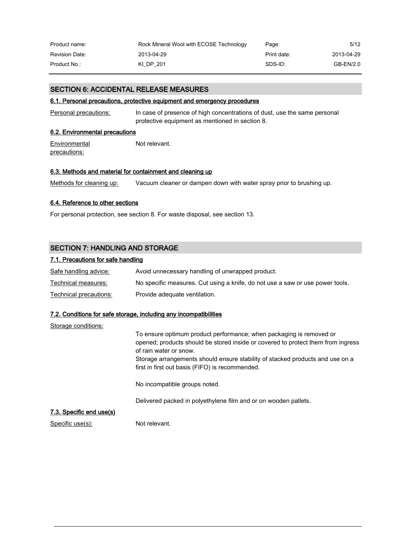| Product name:         | Rock Mineral Wool with ECOSE Technology | Page:       | 5/12       |
|-----------------------|-----------------------------------------|-------------|------------|
| <b>Revision Date:</b> | 2013-04-29                              | Print date: | 2013-04-29 |
| Product No.:          | KI DP 201                               | SDS-ID:     | GB-EN/2.0  |

### SECTION 6: ACCIDENTAL RELEASE MEASURES

### 6.1. Personal precautions, protective equipment and emergency procedures

Personal precautions: In case of presence of high concentrations of dust, use the same personal protective equipment as mentioned in section 8.

### 6.2. Environmental precautions

**Environmental** precautions: Not relevant.

### 6.3. Methods and material for containment and cleaning up

Methods for cleaning up: Vacuum cleaner or dampen down with water spray prior to brushing up.

### 6.4. Reference to other sections

For personal protection, see section 8. For waste disposal, see section 13.

# SECTION 7: HANDLING AND STORAGE

### 7.1. Precautions for safe handling

| Safe handling advice:  | Avoid unnecessary handling of unwrapped product.                              |
|------------------------|-------------------------------------------------------------------------------|
| Technical measures:    | No specific measures. Cut using a knife, do not use a saw or use power tools. |
| Technical precautions: | Provide adequate ventilation.                                                 |

### 7.2. Conditions for safe storage, including any incompatibilities

| Storage conditions:      |                                                                                                                                                                                                                                                                                                                       |
|--------------------------|-----------------------------------------------------------------------------------------------------------------------------------------------------------------------------------------------------------------------------------------------------------------------------------------------------------------------|
|                          | To ensure optimum product performance; when packaging is removed or<br>opened; products should be stored inside or covered to protect them from ingress<br>of rain water or snow.<br>Storage arrangements should ensure stability of stacked products and use on a<br>first in first out basis (FIFO) is recommended. |
|                          | No incompatible groups noted.                                                                                                                                                                                                                                                                                         |
|                          | Delivered packed in polyethylene film and or on wooden pallets.                                                                                                                                                                                                                                                       |
| 7.3. Specific end use(s) |                                                                                                                                                                                                                                                                                                                       |
| Specific use(s):         | Not relevant.                                                                                                                                                                                                                                                                                                         |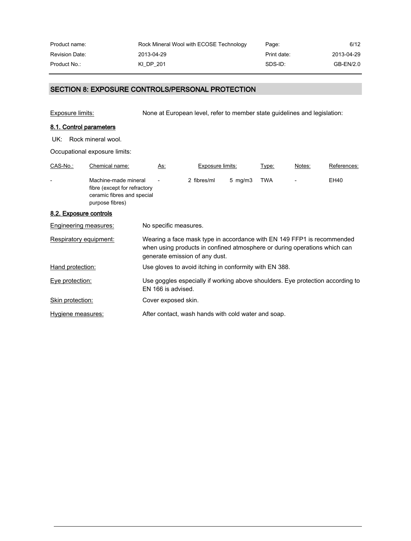| Product name:         | Rock Mineral Wool with ECOSE Technology | Page:       | 6/12       |
|-----------------------|-----------------------------------------|-------------|------------|
| <b>Revision Date:</b> | 2013-04-29                              | Print date: | 2013-04-29 |
| Product No.:          | KI DP 201                               | SDS-ID:     | GB-EN/2.0  |

# SECTION 8: EXPOSURE CONTROLS/PERSONAL PROTECTION

Exposure limits: None at European level, refer to member state guidelines and legislation:

# 8.1. Control parameters

UK: Rock mineral wool.

Occupational exposure limits:

| CAS-No.:               | Chemical name:                                                                                        | As:                   | Exposure limits:                                                                                                                                                                      |                    | Type:      | Notes: | References: |
|------------------------|-------------------------------------------------------------------------------------------------------|-----------------------|---------------------------------------------------------------------------------------------------------------------------------------------------------------------------------------|--------------------|------------|--------|-------------|
|                        | Machine-made mineral<br>fibre (except for refractory<br>ceramic fibres and special<br>purpose fibres) |                       | 2 fibres/ml                                                                                                                                                                           | $5 \,$ mg/m $3 \,$ | <b>TWA</b> |        | EH40        |
| 8.2. Exposure controls |                                                                                                       |                       |                                                                                                                                                                                       |                    |            |        |             |
|                        | Engineering measures:                                                                                 | No specific measures. |                                                                                                                                                                                       |                    |            |        |             |
|                        | Respiratory equipment:                                                                                |                       | Wearing a face mask type in accordance with EN 149 FFP1 is recommended<br>when using products in confined atmosphere or during operations which can<br>generate emission of any dust. |                    |            |        |             |
| Hand protection:       |                                                                                                       |                       | Use gloves to avoid itching in conformity with EN 388.                                                                                                                                |                    |            |        |             |
| Eye protection:        |                                                                                                       | EN 166 is advised.    | Use goggles especially if working above shoulders. Eye protection according to                                                                                                        |                    |            |        |             |
| Skin protection:       |                                                                                                       | Cover exposed skin.   |                                                                                                                                                                                       |                    |            |        |             |
| Hygiene measures:      |                                                                                                       |                       | After contact, wash hands with cold water and soap.                                                                                                                                   |                    |            |        |             |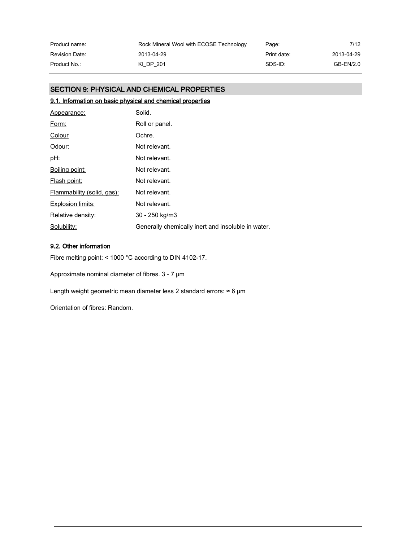| Product name:         | Rock Mineral Wool with ECOSE Technology | Page:       | 7/12       |
|-----------------------|-----------------------------------------|-------------|------------|
| <b>Revision Date:</b> | 2013-04-29                              | Print date: | 2013-04-29 |
| Product No.:          | KI DP 201                               | SDS-ID:     | GB-EN/2.0  |

# SECTION 9: PHYSICAL AND CHEMICAL PROPERTIES

# 9.1. Information on basic physical and chemical properties

| Appearance:                | Solid.                                             |
|----------------------------|----------------------------------------------------|
| Form:                      | Roll or panel.                                     |
| Colour                     | Ochre.                                             |
| Odour:                     | Not relevant.                                      |
| <u>pH:</u>                 | Not relevant.                                      |
| Boiling point:             | Not relevant.                                      |
| Flash point:               | Not relevant.                                      |
| Flammability (solid, gas): | Not relevant.                                      |
| Explosion limits:          | Not relevant.                                      |
| Relative density:          | 30 - 250 kg/m3                                     |
| Solubility:                | Generally chemically inert and insoluble in water. |

# 9.2. Other information

Fibre melting point: < 1000 °C according to DIN 4102-17.

Approximate nominal diameter of fibres. 3 - 7 µm

Length weight geometric mean diameter less 2 standard errors:  $\approx 6 \text{ }\mu\text{m}$ 

Orientation of fibres: Random.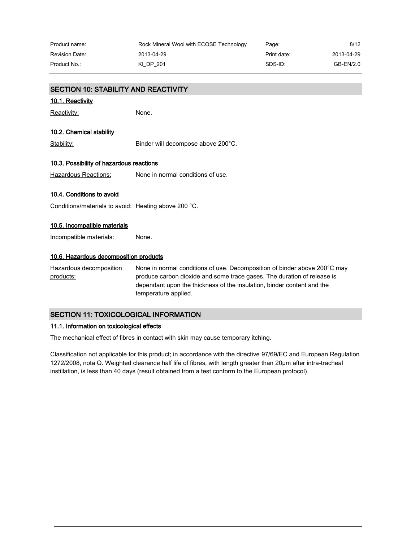| Product name:  | Rock Mineral Wool with ECOSE Technology | Page:       | 8/12       |
|----------------|-----------------------------------------|-------------|------------|
| Revision Date: | 2013-04-29                              | Print date: | 2013-04-29 |
| Product No.: . | KI DP 201                               | SDS-ID:     | GB-EN/2.0  |

| <b>SECTION 10: STABILITY AND REACTIVITY</b>          |                                                                                                                                                                                                                                                        |
|------------------------------------------------------|--------------------------------------------------------------------------------------------------------------------------------------------------------------------------------------------------------------------------------------------------------|
| 10.1. Reactivity                                     |                                                                                                                                                                                                                                                        |
| Reactivity:                                          | None.                                                                                                                                                                                                                                                  |
| 10.2. Chemical stability                             |                                                                                                                                                                                                                                                        |
| Stability:                                           | Binder will decompose above 200°C.                                                                                                                                                                                                                     |
| 10.3. Possibility of hazardous reactions             |                                                                                                                                                                                                                                                        |
| <b>Hazardous Reactions:</b>                          | None in normal conditions of use.                                                                                                                                                                                                                      |
| 10.4. Conditions to avoid                            |                                                                                                                                                                                                                                                        |
| Conditions/materials to avoid: Heating above 200 °C. |                                                                                                                                                                                                                                                        |
| 10.5. Incompatible materials                         |                                                                                                                                                                                                                                                        |
| Incompatible materials:                              | None.                                                                                                                                                                                                                                                  |
| 10.6. Hazardous decomposition products               |                                                                                                                                                                                                                                                        |
| Hazardous decomposition<br>products:                 | None in normal conditions of use. Decomposition of binder above 200°C may<br>produce carbon dioxide and some trace gases. The duration of release is<br>dependant upon the thickness of the insulation, binder content and the<br>temperature applied. |

# SECTION 11: TOXICOLOGICAL INFORMATION

# 11.1. Information on toxicological effects

The mechanical effect of fibres in contact with skin may cause temporary itching.

Classification not applicable for this product; in accordance with the directive 97/69/EC and European Regulation 1272/2008, nota Q. Weighted clearance half life of fibres, with length greater than 20µm after intra-tracheal instillation, is less than 40 days (result obtained from a test conform to the European protocol).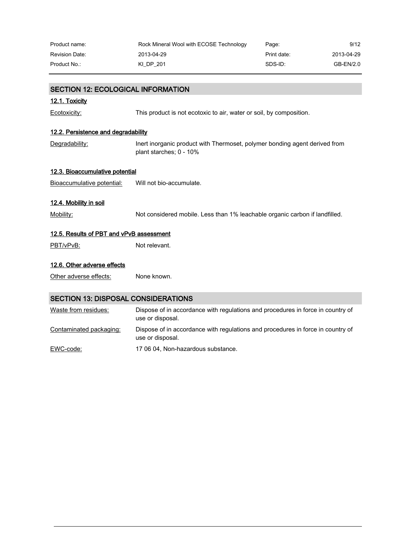| Product name:         | Rock Mineral Wool with ECOSE Technology | Page:       | 9/12       |
|-----------------------|-----------------------------------------|-------------|------------|
| <b>Revision Date:</b> | 2013-04-29                              | Print date: | 2013-04-29 |
| Product No.:          | KI DP 201                               | SDS-ID:     | GB-EN/2.0  |

| <b>SECTION 12: ECOLOGICAL INFORMATION</b>  |                                                                                                       |
|--------------------------------------------|-------------------------------------------------------------------------------------------------------|
| 12.1. Toxicity                             |                                                                                                       |
| Ecotoxicity:                               | This product is not ecotoxic to air, water or soil, by composition.                                   |
| 12.2. Persistence and degradability        |                                                                                                       |
| Degradability:                             | Inert inorganic product with Thermoset, polymer bonding agent derived from<br>plant starches; 0 - 10% |
| 12.3. Bioaccumulative potential            |                                                                                                       |
| Bioaccumulative potential:                 | Will not bio-accumulate.                                                                              |
| 12.4. Mobility in soil                     |                                                                                                       |
| Mobility:                                  | Not considered mobile. Less than 1% leachable organic carbon if landfilled.                           |
| 12.5. Results of PBT and vPvB assessment   |                                                                                                       |
| PBT/vPvB:                                  | Not relevant.                                                                                         |
| 12.6. Other adverse effects                |                                                                                                       |
| Other adverse effects:                     | None known.                                                                                           |
| <b>SECTION 13: DISPOSAL CONSIDERATIONS</b> |                                                                                                       |
| Waste from residues:                       | Dispose of in accordance with regulations and procedures in force in country of<br>use or disposal.   |
| Contaminated packaging:                    | Dispose of in accordance with regulations and procedures in force in country of<br>use or disposal.   |

EWC-code: 17 06 04, Non-hazardous substance.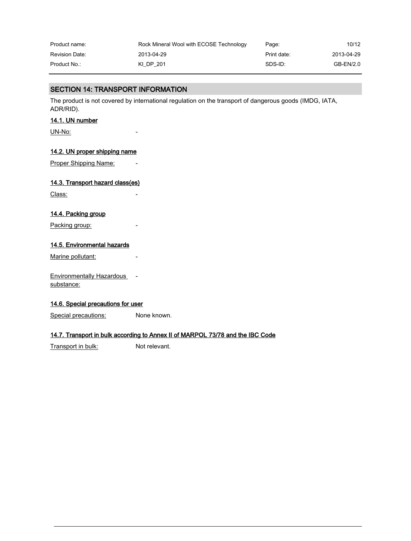| Product name:         | Rock Mineral Wool with ECOSE Technology | Page:       | 10/12      |
|-----------------------|-----------------------------------------|-------------|------------|
| <b>Revision Date:</b> | 2013-04-29                              | Print date: | 2013-04-29 |
| Product No.:          | KI DP 201                               | SDS-ID:     | GB-EN/2.0  |

# SECTION 14: TRANSPORT INFORMATION

The product is not covered by international regulation on the transport of dangerous goods (IMDG, IATA, ADR/RID).

### 14.1. UN number

UN-No:

### 14.2. UN proper shipping name

Proper Shipping Name:

# 14.3. Transport hazard class(es)

Class:

## 14.4. Packing group

Packing group:

### 14.5. Environmental hazards

Marine pollutant:

Environmentally Hazardous substance:

### 14.6. Special precautions for user

Special precautions: None known.

### 14.7. Transport in bulk according to Annex II of MARPOL 73/78 and the IBC Code

Transport in bulk: Not relevant.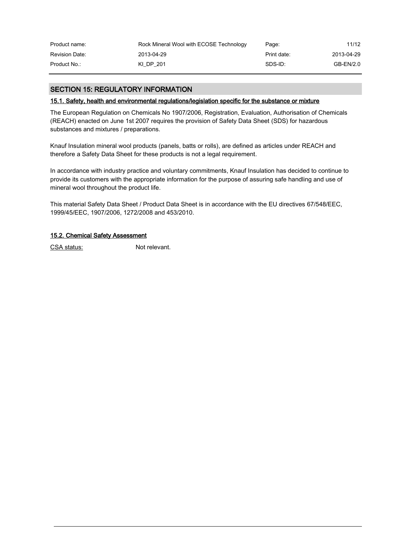| Product name:         | Rock Mineral Wool with ECOSE Technology | Page:       | 11/12      |
|-----------------------|-----------------------------------------|-------------|------------|
| <b>Revision Date:</b> | 2013-04-29                              | Print date: | 2013-04-29 |
| Product No.:          | KI DP 201                               | SDS-ID:     | GB-EN/2.0  |

# SECTION 15: REGULATORY INFORMATION

### 15.1. Safety, health and environmental regulations/legislation specific for the substance or mixture

The European Regulation on Chemicals No 1907/2006, Registration, Evaluation, Authorisation of Chemicals (REACH) enacted on June 1st 2007 requires the provision of Safety Data Sheet (SDS) for hazardous substances and mixtures / preparations.

Knauf Insulation mineral wool products (panels, batts or rolls), are defined as articles under REACH and therefore a Safety Data Sheet for these products is not a legal requirement.

In accordance with industry practice and voluntary commitments, Knauf Insulation has decided to continue to provide its customers with the appropriate information for the purpose of assuring safe handling and use of mineral wool throughout the product life.

This material Safety Data Sheet / Product Data Sheet is in accordance with the EU directives 67/548/EEC, 1999/45/EEC, 1907/2006, 1272/2008 and 453/2010.

#### 15.2. Chemical Safety Assessment

CSA status: Not relevant.